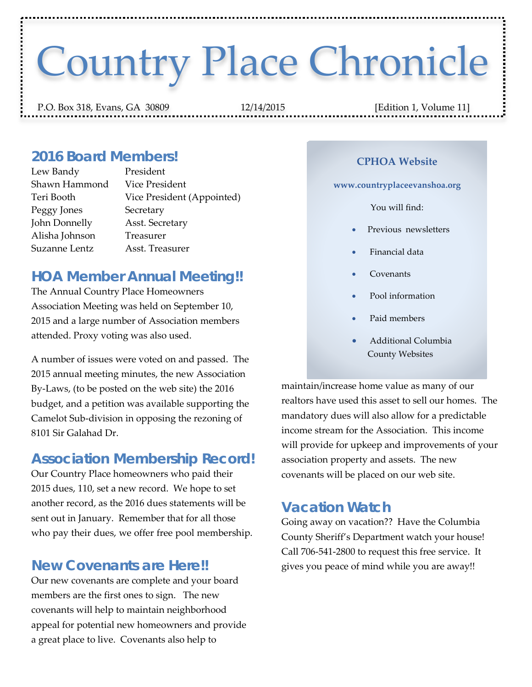# Country Place Chronicle

P.O. Box 318, Evans, GA 30809 12/14/2015 [Edition 1, Volume 11]

#### *2016 Board Members!*

| Lew Bandy      | President                  |
|----------------|----------------------------|
| Shawn Hammond  | Vice President             |
| Teri Booth     | Vice President (Appointed) |
| Peggy Jones    | Secretary                  |
| John Donnelly  | Asst. Secretary            |
| Alisha Johnson | Treasurer                  |
| Suzanne Lentz  | Asst. Treasurer            |

## *HOA Member Annual Meeting!!*

The Annual Country Place Homeowners Association Meeting was held on September 10, 2015 and a large number of Association members attended. Proxy voting was also used.

A number of issues were voted on and passed. The 2015 annual meeting minutes, the new Association By-Laws, (to be posted on the web site) the 2016 budget, and a petition was available supporting the Camelot Sub-division in opposing the rezoning of 8101 Sir Galahad Dr.

#### *Association Membership Record!*

Our Country Place homeowners who paid their 2015 dues, 110, set a new record. We hope to set another record, as the 2016 dues statements will be sent out in January. Remember that for all those who pay their dues, we offer free pool membership.

#### *New Covenants are Here!!*

Our new covenants are complete and your board members are the first ones to sign. The new covenants will help to maintain neighborhood appeal for potential new homeowners and provide a great place to live. Covenants also help to

#### **CPHOA Website**

#### **www.countryplaceevanshoa.org**

You will find:

- Previous newsletters
- Financial data
- **Covenants**
- Pool information
- Paid members
- Additional Columbia County Websites

maintain/increase home value as many of our realtors have used this asset to sell our homes. The mandatory dues will also allow for a predictable income stream for the Association. This income will provide for upkeep and improvements of your association property and assets. The new covenants will be placed on our web site.

### *Vacation Watch*

Going away on vacation?? Have the Columbia County Sheriff's Department watch your house! Call 706-541-2800 to request this free service. It gives you peace of mind while you are away!!